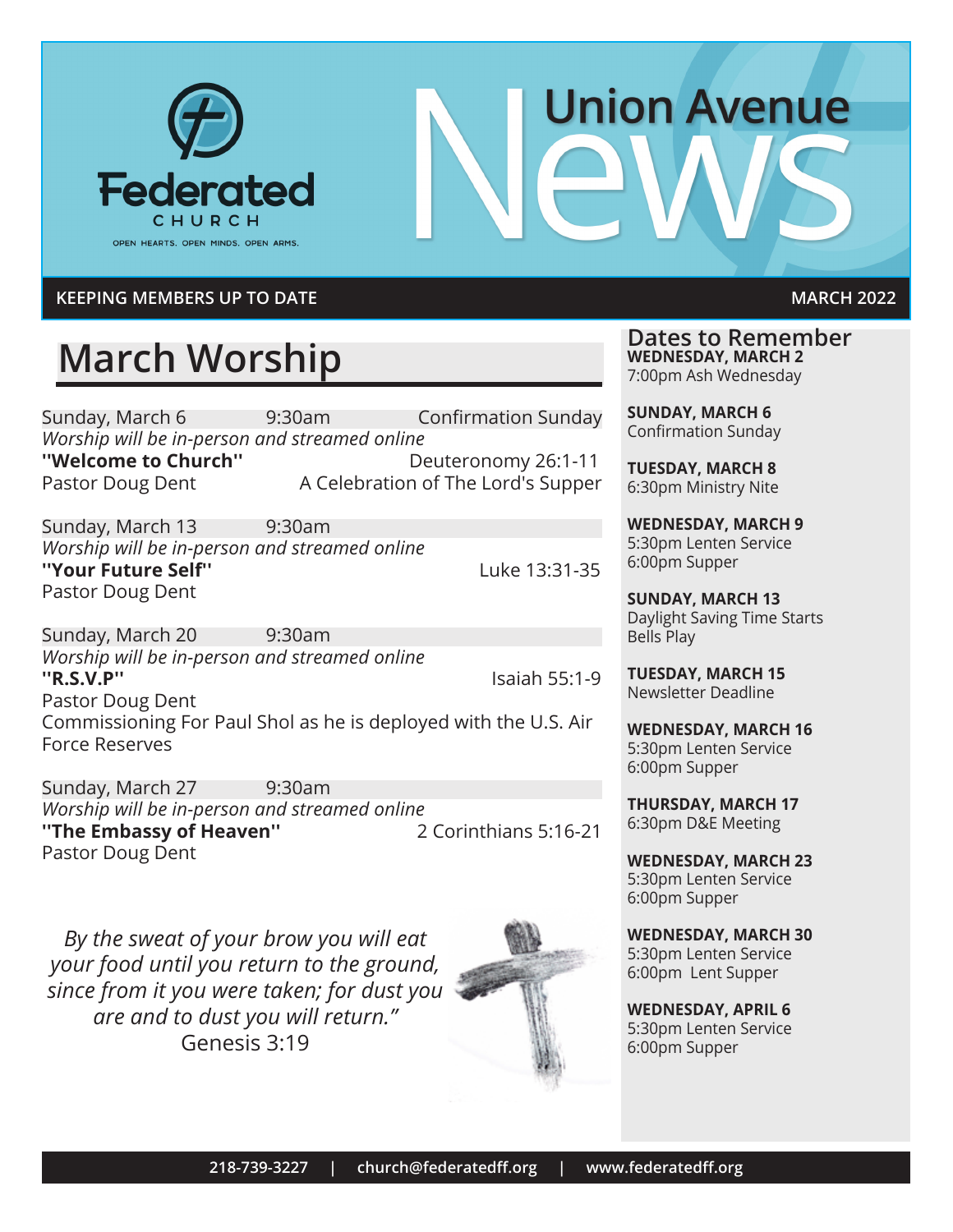

# **Union Avenue**

#### **KEEPING MEMBERS UP TO DATE MARCH 2022**

## **March Worship**

Sunday, March 6 9:30am Confirmation Sunday *Worship will be in-person and streamed online* **''Welcome to Church''** Deuteronomy 26:1-11

Pastor Doug Dent A Celebration of The Lord's Supper

Sunday, March 13 9:30am *Worship will be in-person and streamed online* **''Your Future Self''** Luke 13:31-35 Pastor Doug Dent

Sunday, March 20 9:30am *Worship will be in-person and streamed online* **''R.S.V.P''** Isaiah 55:1-9 Pastor Doug Dent Commissioning For Paul Shol as he is deployed with the U.S. Air Force Reserves

Sunday, March 27 9:30am *Worship will be in-person and streamed online* "The Embassy of Heaven" Pastor Doug Dent

*By the sweat of your brow you will eat your food until you return to the ground, since from it you were taken; for dust you are and to dust you will return."*  Genesis 3:19



**Dates to Remember WEDNESDAY, MARCH 2** 7:00pm Ash Wednesday

**SUNDAY, MARCH 6** Confirmation Sunday

**TUESDAY, MARCH 8** 6:30pm Ministry Nite

**WEDNESDAY, MARCH 9** 5:30pm Lenten Service 6:00pm Supper

**SUNDAY, MARCH 13** Daylight Saving Time Starts Bells Play

**TUESDAY, MARCH 15** Newsletter Deadline

**WEDNESDAY, MARCH 16** 5:30pm Lenten Service 6:00pm Supper

**THURSDAY, MARCH 17**  6:30pm D&E Meeting

**WEDNESDAY, MARCH 23**  5:30pm Lenten Service 6:00pm Supper

**WEDNESDAY, MARCH 30**  5:30pm Lenten Service 6:00pm Lent Supper

**WEDNESDAY, APRIL 6** 5:30pm Lenten Service 6:00pm Supper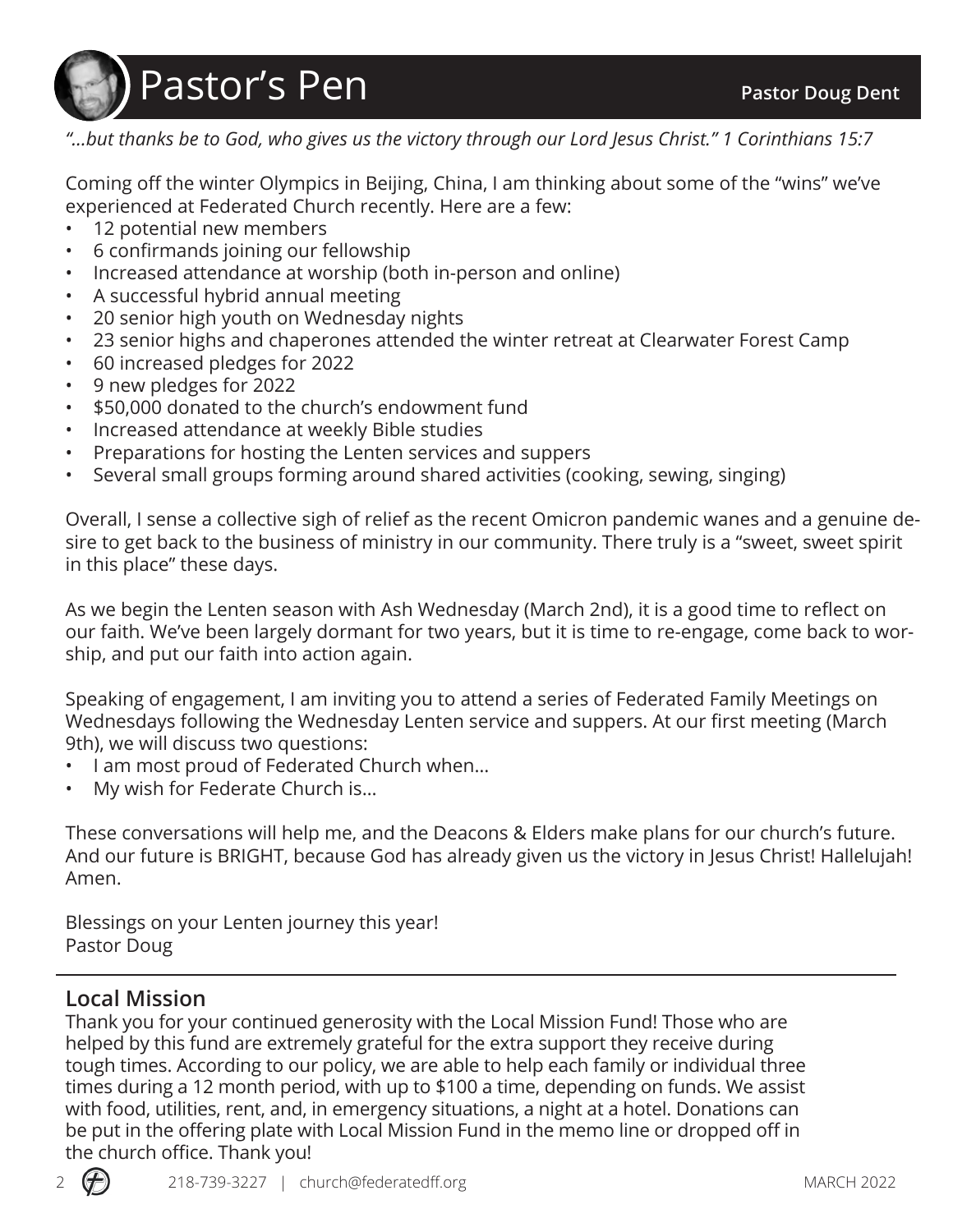

*"…but thanks be to God, who gives us the victory through our Lord Jesus Christ." 1 Corinthians 15:7*

Coming off the winter Olympics in Beijing, China, I am thinking about some of the "wins" we've experienced at Federated Church recently. Here are a few:

- 12 potential new members
- 6 confirmands joining our fellowship
- Increased attendance at worship (both in-person and online)
- A successful hybrid annual meeting
- 20 senior high youth on Wednesday nights
- 23 senior highs and chaperones attended the winter retreat at Clearwater Forest Camp
- 60 increased pledges for 2022
- 9 new pledges for 2022
- \$50,000 donated to the church's endowment fund
- Increased attendance at weekly Bible studies
- Preparations for hosting the Lenten services and suppers
- Several small groups forming around shared activities (cooking, sewing, singing)

Overall, I sense a collective sigh of relief as the recent Omicron pandemic wanes and a genuine desire to get back to the business of ministry in our community. There truly is a "sweet, sweet spirit in this place" these days.

As we begin the Lenten season with Ash Wednesday (March 2nd), it is a good time to reflect on our faith. We've been largely dormant for two years, but it is time to re-engage, come back to worship, and put our faith into action again.

Speaking of engagement, I am inviting you to attend a series of Federated Family Meetings on Wednesdays following the Wednesday Lenten service and suppers. At our first meeting (March 9th), we will discuss two questions:

- I am most proud of Federated Church when…
- My wish for Federate Church is…

These conversations will help me, and the Deacons & Elders make plans for our church's future. And our future is BRIGHT, because God has already given us the victory in Jesus Christ! Hallelujah! Amen.

Blessings on your Lenten journey this year! Pastor Doug

#### **Local Mission**

Thank you for your continued generosity with the Local Mission Fund! Those who are helped by this fund are extremely grateful for the extra support they receive during tough times. According to our policy, we are able to help each family or individual three times during a 12 month period, with up to \$100 a time, depending on funds. We assist with food, utilities, rent, and, in emergency situations, a night at a hotel. Donations can be put in the offering plate with Local Mission Fund in the memo line or dropped off in the church office. Thank you!

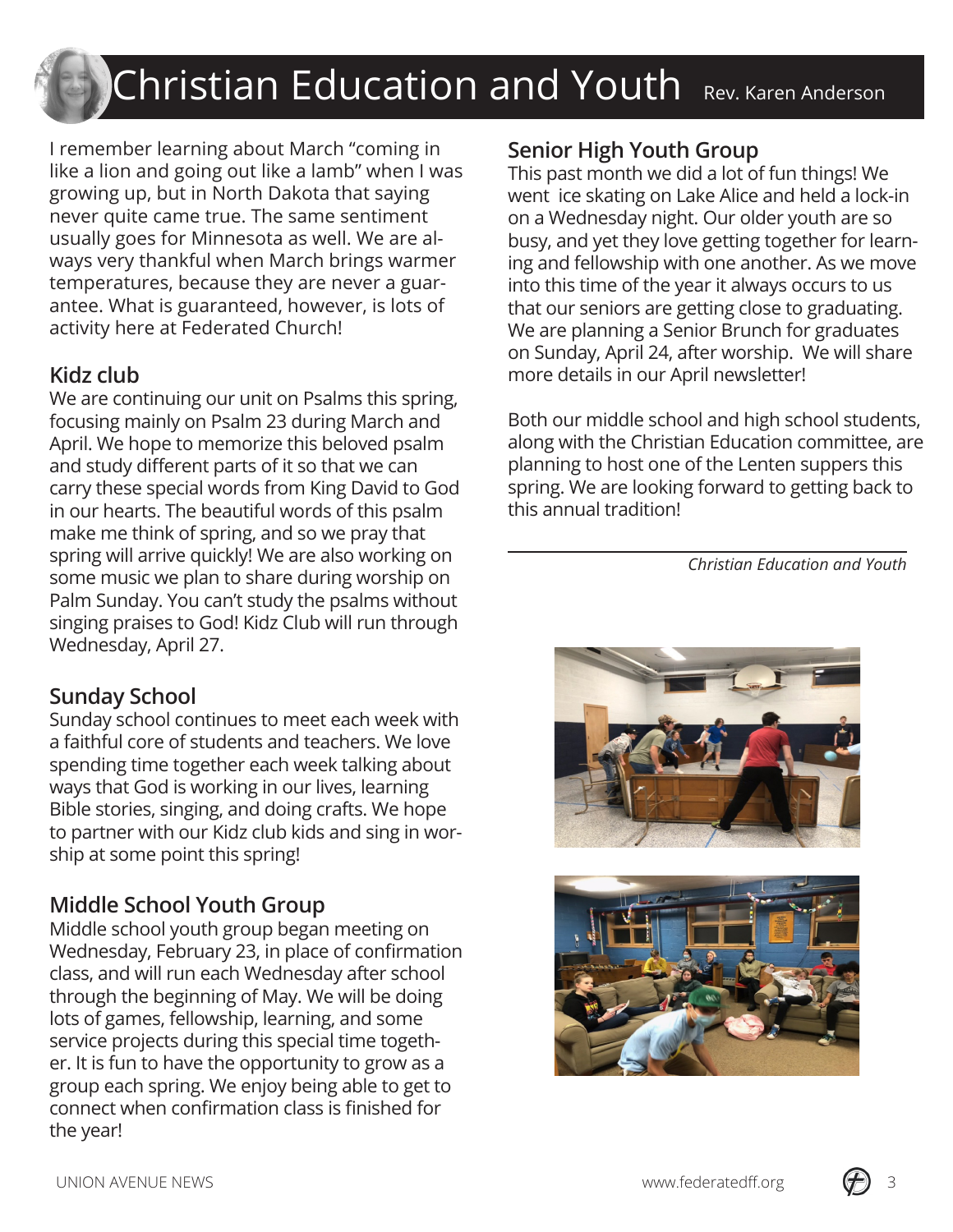#### ran Andarcor Christian Education and Youth Rev. Karen Anderson

I remember learning about March "coming in like a lion and going out like a lamb" when I was growing up, but in North Dakota that saying never quite came true. The same sentiment usually goes for Minnesota as well. We are always very thankful when March brings warmer temperatures, because they are never a guarantee. What is guaranteed, however, is lots of activity here at Federated Church!

#### **Kidz club**

We are continuing our unit on Psalms this spring, focusing mainly on Psalm 23 during March and April. We hope to memorize this beloved psalm and study different parts of it so that we can carry these special words from King David to God in our hearts. The beautiful words of this psalm make me think of spring, and so we pray that spring will arrive quickly! We are also working on some music we plan to share during worship on Palm Sunday. You can't study the psalms without singing praises to God! Kidz Club will run through Wednesday, April 27.

#### **Sunday School**

Sunday school continues to meet each week with a faithful core of students and teachers. We love spending time together each week talking about ways that God is working in our lives, learning Bible stories, singing, and doing crafts. We hope to partner with our Kidz club kids and sing in worship at some point this spring!

#### **Middle School Youth Group**

Middle school youth group began meeting on Wednesday, February 23, in place of confirmation class, and will run each Wednesday after school through the beginning of May. We will be doing lots of games, fellowship, learning, and some service projects during this special time together. It is fun to have the opportunity to grow as a group each spring. We enjoy being able to get to connect when confirmation class is finished for the year!

#### **Senior High Youth Group**

This past month we did a lot of fun things! We went ice skating on Lake Alice and held a lock-in on a Wednesday night. Our older youth are so busy, and yet they love getting together for learning and fellowship with one another. As we move into this time of the year it always occurs to us that our seniors are getting close to graduating. We are planning a Senior Brunch for graduates on Sunday, April 24, after worship. We will share more details in our April newsletter!

Both our middle school and high school students, along with the Christian Education committee, are planning to host one of the Lenten suppers this spring. We are looking forward to getting back to this annual tradition!

 *Christian Education and Youth*





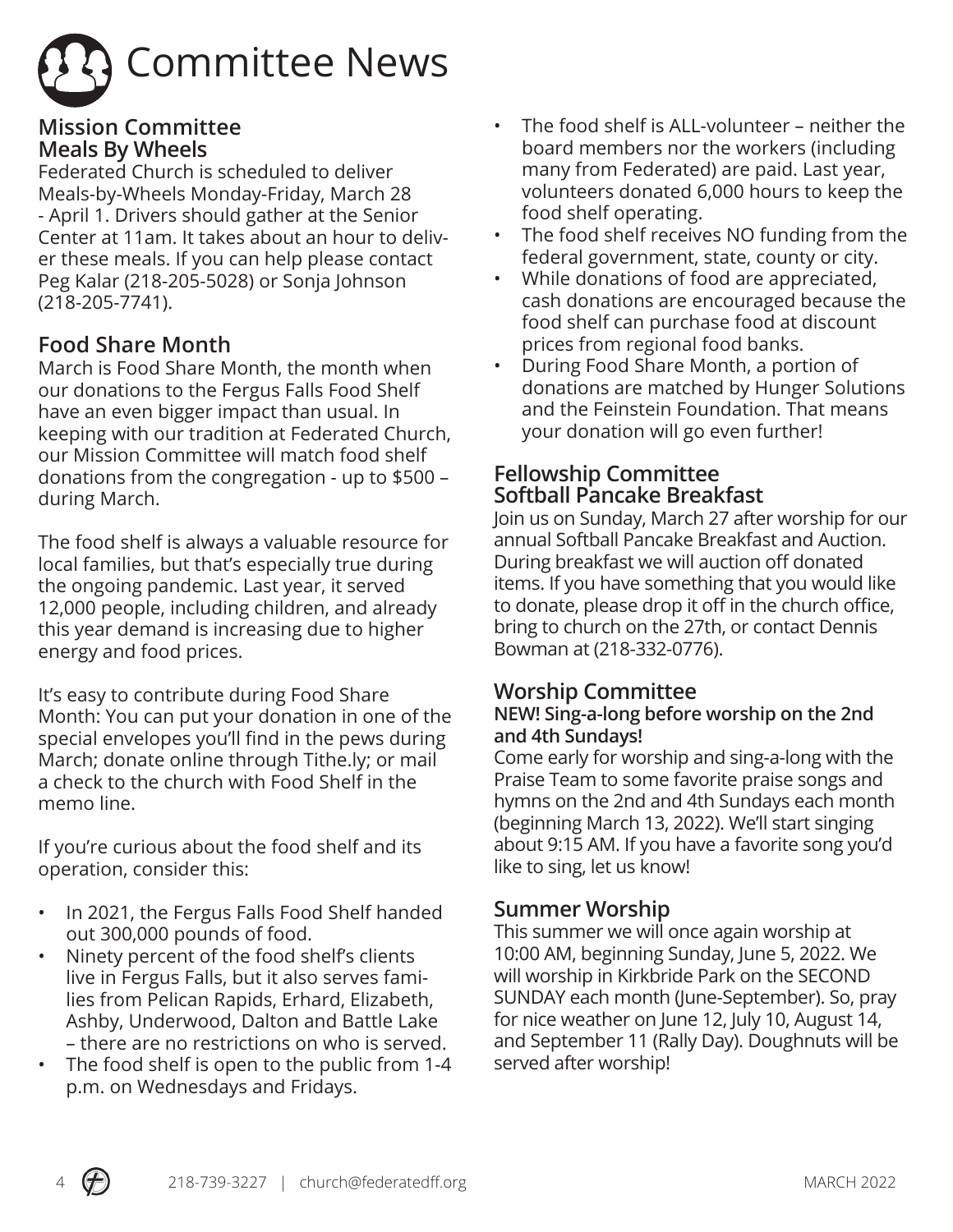

#### **Mission Committee Meals By Wheels**

Federated Church is scheduled to deliver Meals-by-Wheels Monday-Friday, March 28 - April 1. Drivers should gather at the Senior Center at 11am. It takes about an hour to deliver these meals. If you can help please contact Peg Kalar (218-205-5028) or Sonja Johnson (218-205-7741).

#### **Food Share Month**

March is Food Share Month, the month when our donations to the Fergus Falls Food Shelf have an even bigger impact than usual. In keeping with our tradition at Federated Church, our Mission Committee will match food shelf donations from the congregation - up to \$500 – during March.

The food shelf is always a valuable resource for local families, but that's especially true during the ongoing pandemic. Last year, it served 12,000 people, including children, and already this year demand is increasing due to higher energy and food prices.

It's easy to contribute during Food Share Month: You can put your donation in one of the special envelopes you'll find in the pews during March; donate online through Tithe.ly; or mail a check to the church with Food Shelf in the memo line.

If you're curious about the food shelf and its operation, consider this:

- In 2021, the Fergus Falls Food Shelf handed out 300,000 pounds of food.
- Ninety percent of the food shelf's clients live in Fergus Falls, but it also serves families from Pelican Rapids, Erhard, Elizabeth, Ashby, Underwood, Dalton and Battle Lake – there are no restrictions on who is served.
- The food shelf is open to the public from 1-4 p.m. on Wednesdays and Fridays.
- The food shelf is ALL-volunteer neither the board members nor the workers (including many from Federated) are paid. Last year, volunteers donated 6,000 hours to keep the food shelf operating.
- The food shelf receives NO funding from the federal government, state, county or city.
- While donations of food are appreciated, cash donations are encouraged because the food shelf can purchase food at discount prices from regional food banks.
- During Food Share Month, a portion of donations are matched by Hunger Solutions and the Feinstein Foundation. That means your donation will go even further!

#### **Fellowship Committee Softball Pancake Breakfast**

Join us on Sunday, March 27 after worship for our annual Softball Pancake Breakfast and Auction. During breakfast we will auction off donated items. If you have something that you would like to donate, please drop it off in the church office, bring to church on the 27th, or contact Dennis Bowman at (218-332-0776).

#### **Worship Committee**

#### **NEW! Sing-a-long before worship on the 2nd and 4th Sundays!**

Come early for worship and sing-a-long with the Praise Team to some favorite praise songs and hymns on the 2nd and 4th Sundays each month (beginning March 13, 2022). We'll start singing about 9:15 AM. If you have a favorite song you'd like to sing, let us know!

#### **Summer Worship**

This summer we will once again worship at 10:00 AM, beginning Sunday, June 5, 2022. We will worship in Kirkbride Park on the SECOND SUNDAY each month (June-September). So, pray for nice weather on June 12, July 10, August 14, and September 11 (Rally Day). Doughnuts will be served after worship!

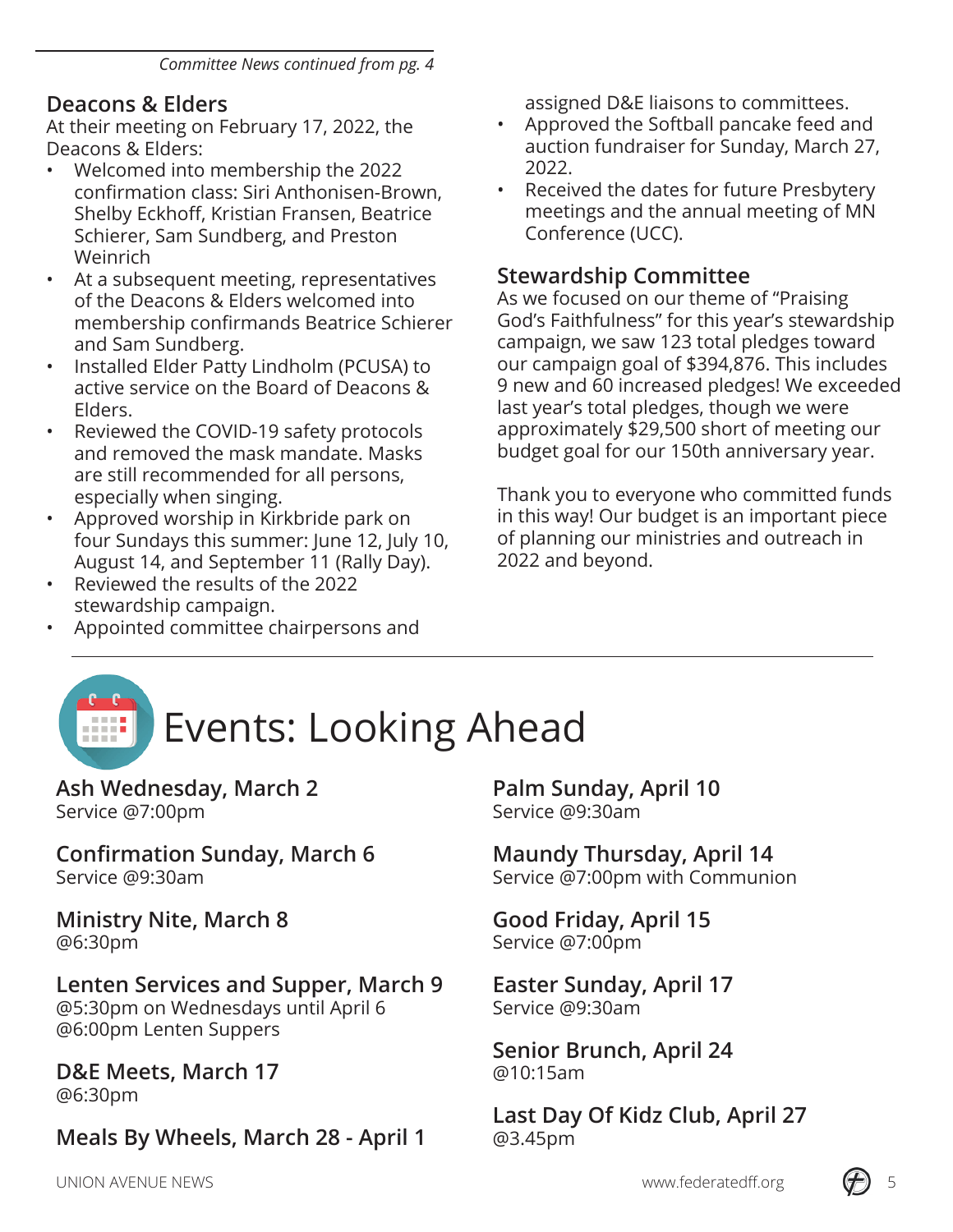#### **Deacons & Elders**

At their meeting on February 17, 2022, the Deacons & Elders:

- Welcomed into membership the 2022 confirmation class: Siri Anthonisen-Brown, Shelby Eckhoff, Kristian Fransen, Beatrice Schierer, Sam Sundberg, and Preston Weinrich
- At a subsequent meeting, representatives of the Deacons & Elders welcomed into membership confirmands Beatrice Schierer and Sam Sundberg.
- Installed Elder Patty Lindholm (PCUSA) to active service on the Board of Deacons & Elders.
- Reviewed the COVID-19 safety protocols and removed the mask mandate. Masks are still recommended for all persons, especially when singing.
- Approved worship in Kirkbride park on four Sundays this summer: June 12, July 10, August 14, and September 11 (Rally Day).
- Reviewed the results of the 2022 stewardship campaign.
- Appointed committee chairpersons and

assigned D&E liaisons to committees.

- Approved the Softball pancake feed and auction fundraiser for Sunday, March 27, 2022.
- Received the dates for future Presbytery meetings and the annual meeting of MN Conference (UCC).

#### **Stewardship Committee**

As we focused on our theme of "Praising God's Faithfulness" for this year's stewardship campaign, we saw 123 total pledges toward our campaign goal of \$394,876. This includes 9 new and 60 increased pledges! We exceeded last year's total pledges, though we were approximately \$29,500 short of meeting our budget goal for our 150th anniversary year.

Thank you to everyone who committed funds in this way! Our budget is an important piece of planning our ministries and outreach in 2022 and beyond.

## Events: Looking Ahead

**Ash Wednesday, March 2** Service @7:00pm

**Confirmation Sunday, March 6** Service @9:30am

**Ministry Nite, March 8** @6:30pm

#### **Lenten Services and Supper, March 9**

@5:30pm on Wednesdays until April 6 @6:00pm Lenten Suppers

#### **D&E Meets, March 17** @6:30pm

## **Meals By Wheels, March 28 - April 1**

**Palm Sunday, April 10** Service @9:30am

**Maundy Thursday, April 14** Service @7:00pm with Communion

**Good Friday, April 15** Service @7:00pm

**Easter Sunday, April 17** Service @9:30am

**Senior Brunch, April 24** @10:15am

**Last Day Of Kidz Club, April 27** @3.45pm

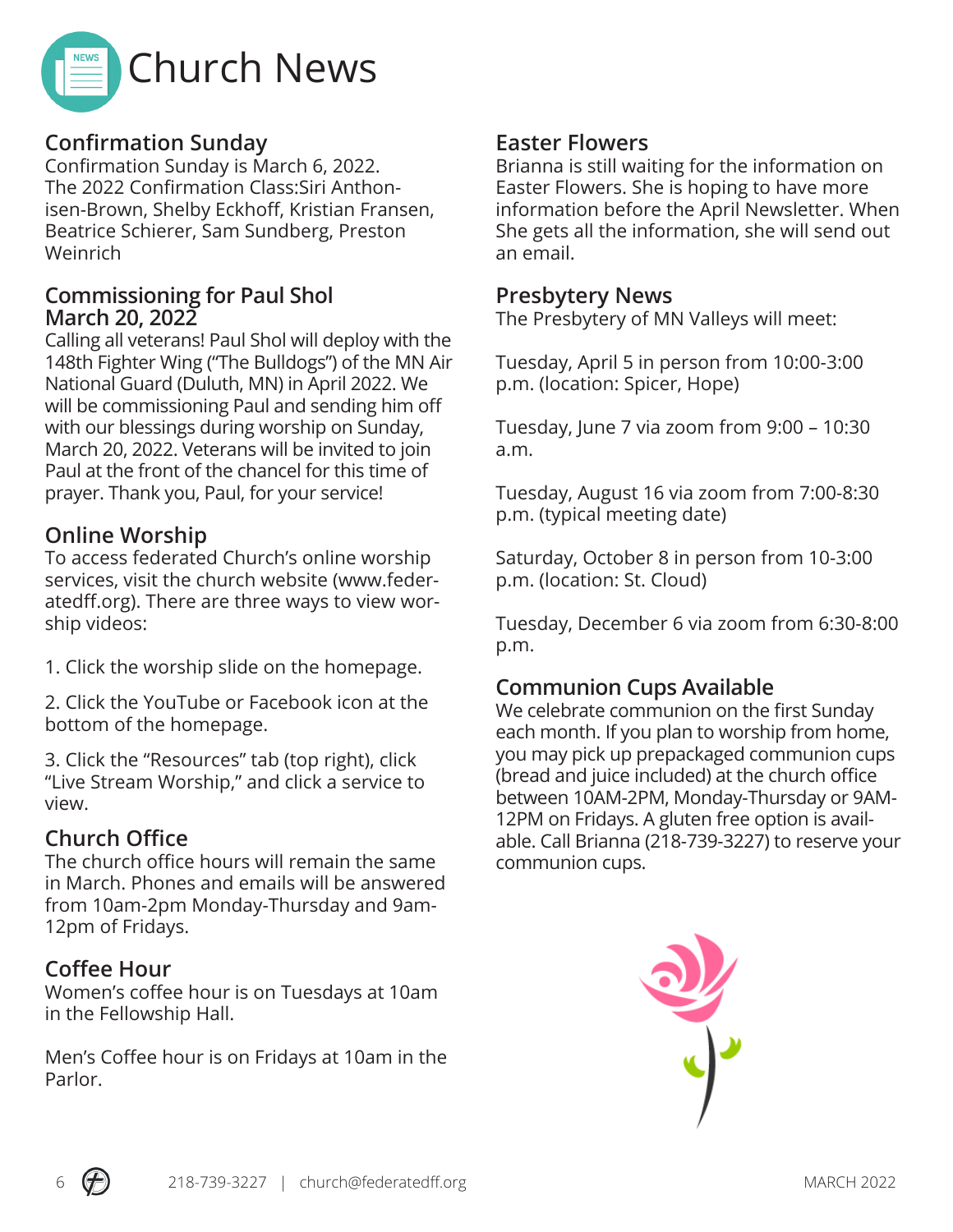

#### **Confirmation Sunday**

Confirmation Sunday is March 6, 2022. The 2022 Confirmation Class:Siri Anthonisen-Brown, Shelby Eckhoff, Kristian Fransen, Beatrice Schierer, Sam Sundberg, Preston Weinrich

#### **Commissioning for Paul Shol March 20, 2022**

Calling all veterans! Paul Shol will deploy with the 148th Fighter Wing ("The Bulldogs") of the MN Air National Guard (Duluth, MN) in April 2022. We will be commissioning Paul and sending him off with our blessings during worship on Sunday, March 20, 2022. Veterans will be invited to join Paul at the front of the chancel for this time of prayer. Thank you, Paul, for your service!

#### **Online Worship**

To access federated Church's online worship services, visit the church website (www.federatedff.org). There are three ways to view worship videos:

1. Click the worship slide on the homepage.

2. Click the YouTube or Facebook icon at the bottom of the homepage.

3. Click the "Resources" tab (top right), click "Live Stream Worship," and click a service to view.

#### **Church Office**

The church office hours will remain the same in March. Phones and emails will be answered from 10am-2pm Monday-Thursday and 9am-12pm of Fridays.

#### **Coffee Hour**

Women's coffee hour is on Tuesdays at 10am in the Fellowship Hall.

Men's Coffee hour is on Fridays at 10am in the Parlor.

#### **Easter Flowers**

Brianna is still waiting for the information on Easter Flowers. She is hoping to have more information before the April Newsletter. When She gets all the information, she will send out an email.

#### **Presbytery News**

The Presbytery of MN Valleys will meet:

Tuesday, April 5 in person from 10:00-3:00 p.m. (location: Spicer, Hope)

Tuesday, June 7 via zoom from 9:00 – 10:30 a.m.

Tuesday, August 16 via zoom from 7:00-8:30 p.m. (typical meeting date)

Saturday, October 8 in person from 10-3:00 p.m. (location: St. Cloud)

Tuesday, December 6 via zoom from 6:30-8:00 p.m.

#### **Communion Cups Available**

We celebrate communion on the first Sunday each month. If you plan to worship from home, you may pick up prepackaged communion cups (bread and juice included) at the church office between 10AM-2PM, Monday-Thursday or 9AM-12PM on Fridays. A gluten free option is available. Call Brianna (218-739-3227) to reserve your communion cups.



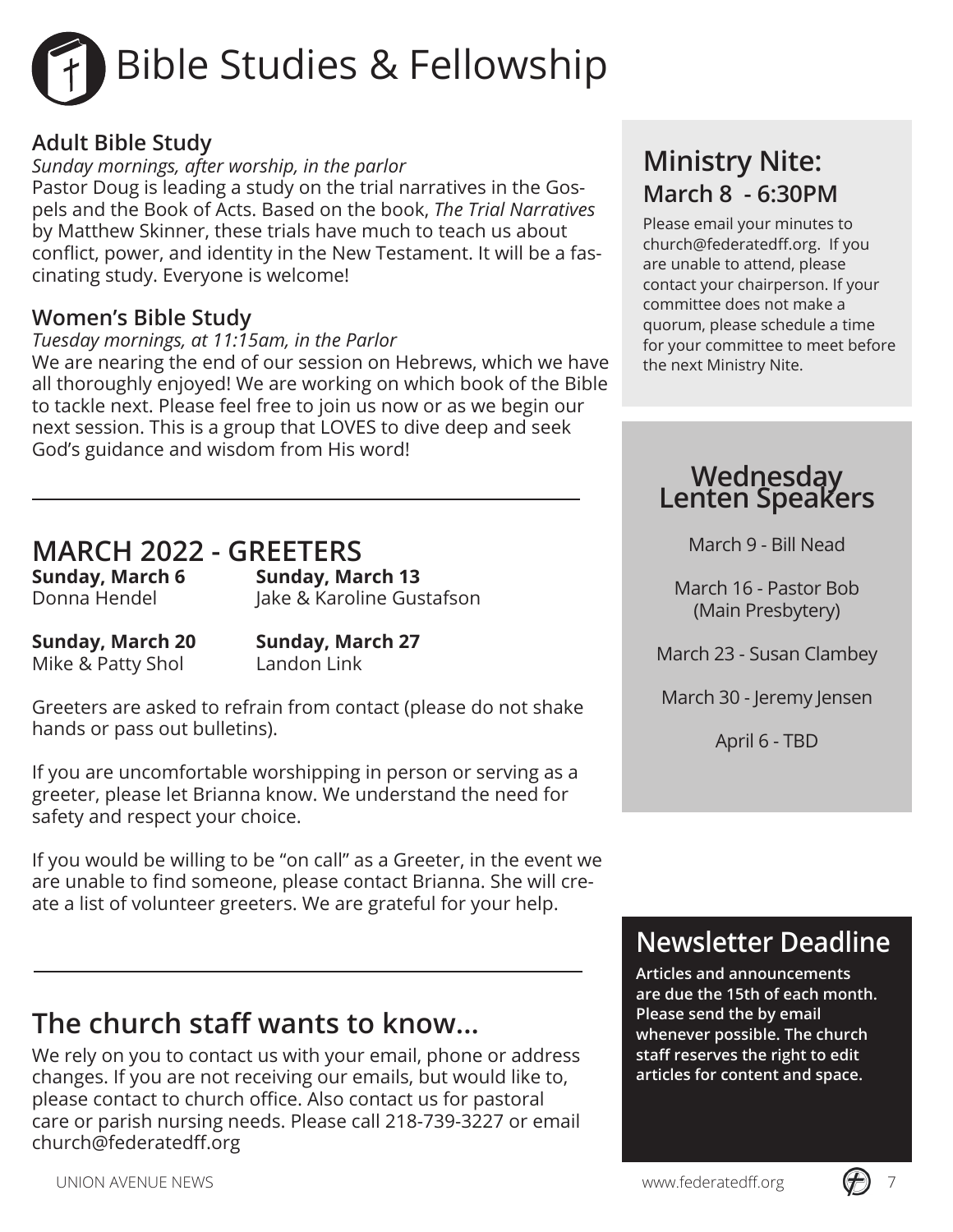# Bible Studies & Fellowship

#### **Adult Bible Study**

*Sunday mornings, after worship, in the parlor*

Pastor Doug is leading a study on the trial narratives in the Gospels and the Book of Acts. Based on the book, *The Trial Narratives*  by Matthew Skinner, these trials have much to teach us about conflict, power, and identity in the New Testament. It will be a fascinating study. Everyone is welcome!

#### **Women's Bible Study**

#### *Tuesday mornings, at 11:15am, in the Parlor*

We are nearing the end of our session on Hebrews, which we have all thoroughly enjoyed! We are working on which book of the Bible to tackle next. Please feel free to join us now or as we begin our next session. This is a group that LOVES to dive deep and seek God's guidance and wisdom from His word!

## **MARCH 2022 - GREETERS**

**Sunday, March 13** Donna Hendel Jake & Karoline Gustafson

**Sunday, March 20 Sunday, March 27** Mike & Patty Shol Landon Link

Greeters are asked to refrain from contact (please do not shake hands or pass out bulletins).

If you are uncomfortable worshipping in person or serving as a greeter, please let Brianna know. We understand the need for safety and respect your choice.

If you would be willing to be "on call" as a Greeter, in the event we are unable to find someone, please contact Brianna. She will create a list of volunteer greeters. We are grateful for your help.

#### **The church staff wants to know...**

We rely on you to contact us with your email, phone or address changes. If you are not receiving our emails, but would like to, please contact to church office. Also contact us for pastoral care or parish nursing needs. Please call 218-739-3227 or email church@federatedff.org

#### **Ministry Nite: March 8 - 6:30PM**

Please email your minutes to church@federatedff.org. If you are unable to attend, please contact your chairperson. If your committee does not make a quorum, please schedule a time for your committee to meet before the next Ministry Nite.

## **Wednesday Lenten Speakers**

March 9 - Bill Nead

March 16 - Pastor Bob (Main Presbytery)

March 23 - Susan Clambey

March 30 - Jeremy Jensen

April 6 - TBD

#### **Newsletter Deadline**

**Articles and announcements are due the 15th of each month. Please send the by email whenever possible. The church staff reserves the right to edit articles for content and space.**